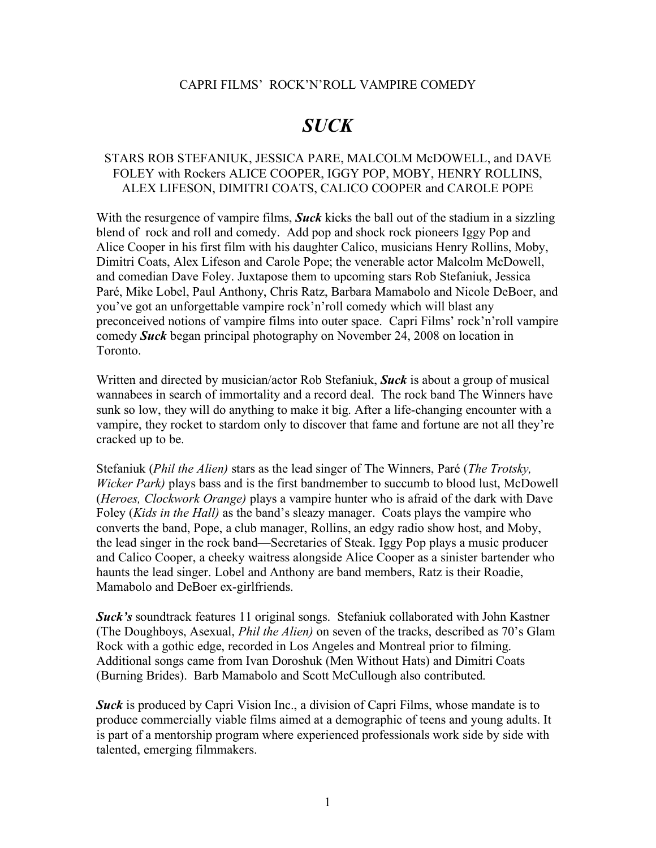#### CAPRI FILMS' ROCK'N'ROLL VAMPIRE COMEDY

# *SUCK*

## STARS ROB STEFANIUK, JESSICA PARE, MALCOLM McDOWELL, and DAVE FOLEY with Rockers ALICE COOPER, IGGY POP, MOBY, HENRY ROLLINS, ALEX LIFESON, DIMITRI COATS, CALICO COOPER and CAROLE POPE

With the resurgence of vampire films, *Suck* kicks the ball out of the stadium in a sizzling blend of rock and roll and comedy. Add pop and shock rock pioneers Iggy Pop and Alice Cooper in his first film with his daughter Calico, musicians Henry Rollins, Moby, Dimitri Coats, Alex Lifeson and Carole Pope; the venerable actor Malcolm McDowell, and comedian Dave Foley. Juxtapose them to upcoming stars Rob Stefaniuk, Jessica Paré, Mike Lobel, Paul Anthony, Chris Ratz, Barbara Mamabolo and Nicole DeBoer, and you've got an unforgettable vampire rock'n'roll comedy which will blast any preconceived notions of vampire films into outer space. Capri Films' rock'n'roll vampire comedy *Suck* began principal photography on November 24, 2008 on location in Toronto.

Written and directed by musician/actor Rob Stefaniuk, *Suck* is about a group of musical wannabees in search of immortality and a record deal. The rock band The Winners have sunk so low, they will do anything to make it big. After a life-changing encounter with a vampire, they rocket to stardom only to discover that fame and fortune are not all they're cracked up to be.

Stefaniuk (*Phil the Alien)* stars as the lead singer of The Winners, Paré (*The Trotsky, Wicker Park)* plays bass and is the first bandmember to succumb to blood lust, McDowell (*Heroes, Clockwork Orange)* plays a vampire hunter who is afraid of the dark with Dave Foley (*Kids in the Hall)* as the band's sleazy manager. Coats plays the vampire who converts the band, Pope, a club manager, Rollins, an edgy radio show host, and Moby, the lead singer in the rock band—Secretaries of Steak. Iggy Pop plays a music producer and Calico Cooper, a cheeky waitress alongside Alice Cooper as a sinister bartender who haunts the lead singer. Lobel and Anthony are band members, Ratz is their Roadie, Mamabolo and DeBoer ex-girlfriends.

*Suck's* soundtrack features 11 original songs. Stefaniuk collaborated with John Kastner (The Doughboys, Asexual, *Phil the Alien)* on seven of the tracks, described as 70's Glam Rock with a gothic edge, recorded in Los Angeles and Montreal prior to filming. Additional songs came from Ivan Doroshuk (Men Without Hats) and Dimitri Coats (Burning Brides). Barb Mamabolo and Scott McCullough also contributed.

**Suck** is produced by Capri Vision Inc., a division of Capri Films, whose mandate is to produce commercially viable films aimed at a demographic of teens and young adults. It is part of a mentorship program where experienced professionals work side by side with talented, emerging filmmakers.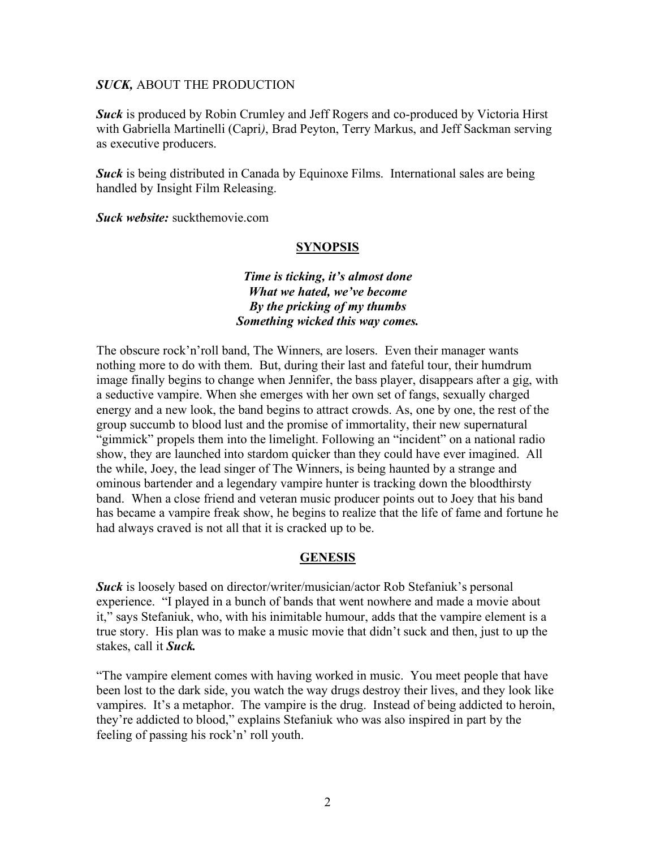*Suck* is produced by Robin Crumley and Jeff Rogers and co-produced by Victoria Hirst with Gabriella Martinelli (Capri*)*, Brad Peyton, Terry Markus, and Jeff Sackman serving as executive producers.

*Suck* is being distributed in Canada by Equinoxe Films. International sales are being handled by Insight Film Releasing.

*Suck website:* suckthemovie.com

#### **SYNOPSIS**

## *Time is ticking, it's almost done What we hated, we've become By the pricking of my thumbs Something wicked this way comes.*

The obscure rock'n'roll band, The Winners, are losers. Even their manager wants nothing more to do with them. But, during their last and fateful tour, their humdrum image finally begins to change when Jennifer, the bass player, disappears after a gig, with a seductive vampire. When she emerges with her own set of fangs, sexually charged energy and a new look, the band begins to attract crowds. As, one by one, the rest of the group succumb to blood lust and the promise of immortality, their new supernatural "gimmick" propels them into the limelight. Following an "incident" on a national radio show, they are launched into stardom quicker than they could have ever imagined. All the while, Joey, the lead singer of The Winners, is being haunted by a strange and ominous bartender and a legendary vampire hunter is tracking down the bloodthirsty band. When a close friend and veteran music producer points out to Joey that his band has became a vampire freak show, he begins to realize that the life of fame and fortune he had always craved is not all that it is cracked up to be.

#### **GENESIS**

*Suck* is loosely based on director/writer/musician/actor Rob Stefaniuk's personal experience. "I played in a bunch of bands that went nowhere and made a movie about it," says Stefaniuk, who, with his inimitable humour, adds that the vampire element is a true story. His plan was to make a music movie that didn't suck and then, just to up the stakes, call it *Suck.*

"The vampire element comes with having worked in music. You meet people that have been lost to the dark side, you watch the way drugs destroy their lives, and they look like vampires. It's a metaphor. The vampire is the drug. Instead of being addicted to heroin, they're addicted to blood," explains Stefaniuk who was also inspired in part by the feeling of passing his rock'n' roll youth.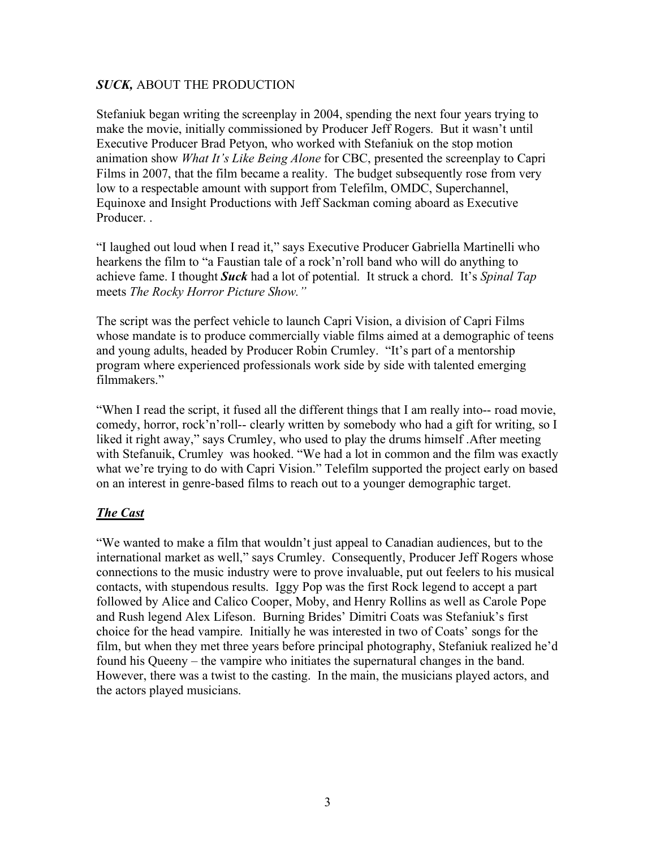Stefaniuk began writing the screenplay in 2004, spending the next four years trying to make the movie, initially commissioned by Producer Jeff Rogers. But it wasn't until Executive Producer Brad Petyon, who worked with Stefaniuk on the stop motion animation show *What It's Like Being Alone* for CBC, presented the screenplay to Capri Films in 2007, that the film became a reality. The budget subsequently rose from very low to a respectable amount with support from Telefilm, OMDC, Superchannel, Equinoxe and Insight Productions with Jeff Sackman coming aboard as Executive Producer. .

"I laughed out loud when I read it," says Executive Producer Gabriella Martinelli who hearkens the film to "a Faustian tale of a rock'n'roll band who will do anything to achieve fame. I thought *Suck* had a lot of potential. It struck a chord. It's *Spinal Tap* meets *The Rocky Horror Picture Show."* 

The script was the perfect vehicle to launch Capri Vision, a division of Capri Films whose mandate is to produce commercially viable films aimed at a demographic of teens and young adults, headed by Producer Robin Crumley. "It's part of a mentorship program where experienced professionals work side by side with talented emerging filmmakers."

"When I read the script, it fused all the different things that I am really into-- road movie, comedy, horror, rock'n'roll-- clearly written by somebody who had a gift for writing, so I liked it right away," says Crumley, who used to play the drums himself .After meeting with Stefanuik, Crumley was hooked. "We had a lot in common and the film was exactly what we're trying to do with Capri Vision." Telefilm supported the project early on based on an interest in genre-based films to reach out to a younger demographic target.

# *The Cast*

"We wanted to make a film that wouldn't just appeal to Canadian audiences, but to the international market as well," says Crumley. Consequently, Producer Jeff Rogers whose connections to the music industry were to prove invaluable, put out feelers to his musical contacts, with stupendous results. Iggy Pop was the first Rock legend to accept a part followed by Alice and Calico Cooper, Moby, and Henry Rollins as well as Carole Pope and Rush legend Alex Lifeson. Burning Brides' Dimitri Coats was Stefaniuk's first choice for the head vampire. Initially he was interested in two of Coats' songs for the film, but when they met three years before principal photography, Stefaniuk realized he'd found his Queeny – the vampire who initiates the supernatural changes in the band. However, there was a twist to the casting. In the main, the musicians played actors, and the actors played musicians.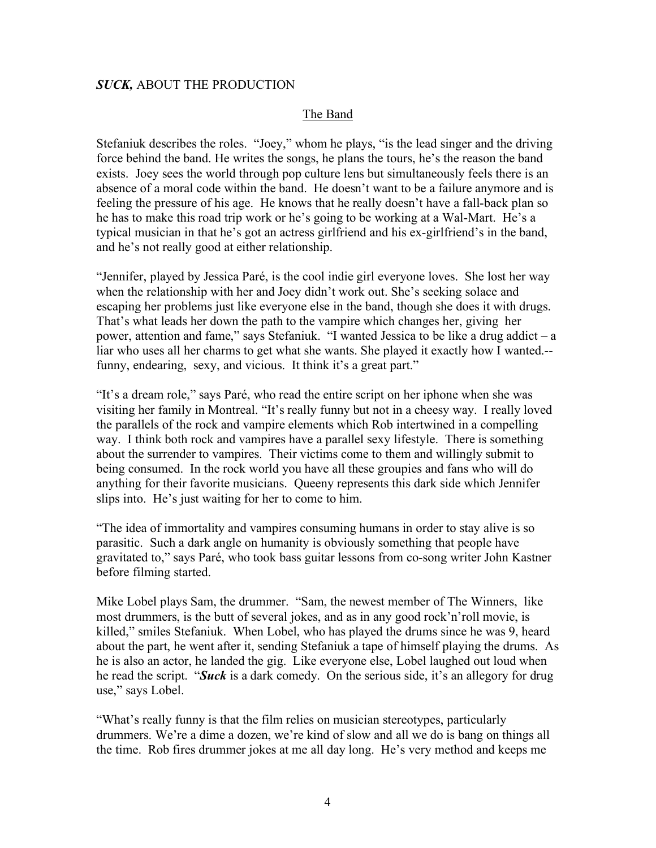#### The Band

Stefaniuk describes the roles. "Joey," whom he plays, "is the lead singer and the driving force behind the band. He writes the songs, he plans the tours, he's the reason the band exists. Joey sees the world through pop culture lens but simultaneously feels there is an absence of a moral code within the band. He doesn't want to be a failure anymore and is feeling the pressure of his age. He knows that he really doesn't have a fall-back plan so he has to make this road trip work or he's going to be working at a Wal-Mart. He's a typical musician in that he's got an actress girlfriend and his ex-girlfriend's in the band, and he's not really good at either relationship.

"Jennifer, played by Jessica Paré, is the cool indie girl everyone loves. She lost her way when the relationship with her and Joey didn't work out. She's seeking solace and escaping her problems just like everyone else in the band, though she does it with drugs. That's what leads her down the path to the vampire which changes her, giving her power, attention and fame," says Stefaniuk. "I wanted Jessica to be like a drug addict – a liar who uses all her charms to get what she wants. She played it exactly how I wanted.- funny, endearing, sexy, and vicious. It think it's a great part."

"It's a dream role," says Paré, who read the entire script on her iphone when she was visiting her family in Montreal. "It's really funny but not in a cheesy way. I really loved the parallels of the rock and vampire elements which Rob intertwined in a compelling way. I think both rock and vampires have a parallel sexy lifestyle. There is something about the surrender to vampires. Their victims come to them and willingly submit to being consumed. In the rock world you have all these groupies and fans who will do anything for their favorite musicians. Queeny represents this dark side which Jennifer slips into. He's just waiting for her to come to him.

"The idea of immortality and vampires consuming humans in order to stay alive is so parasitic. Such a dark angle on humanity is obviously something that people have gravitated to," says Paré, who took bass guitar lessons from co-song writer John Kastner before filming started.

Mike Lobel plays Sam, the drummer. "Sam, the newest member of The Winners, like most drummers, is the butt of several jokes, and as in any good rock'n'roll movie, is killed," smiles Stefaniuk. When Lobel, who has played the drums since he was 9, heard about the part, he went after it, sending Stefaniuk a tape of himself playing the drums. As he is also an actor, he landed the gig. Like everyone else, Lobel laughed out loud when he read the script. "*Suck* is a dark comedy. On the serious side, it's an allegory for drug use," says Lobel.

"What's really funny is that the film relies on musician stereotypes, particularly drummers. We're a dime a dozen, we're kind of slow and all we do is bang on things all the time. Rob fires drummer jokes at me all day long. He's very method and keeps me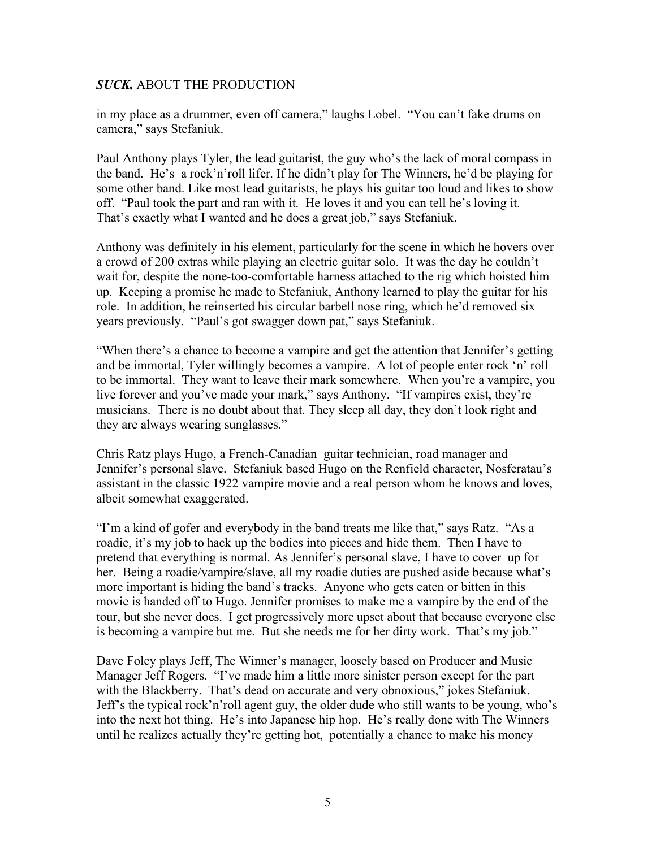in my place as a drummer, even off camera," laughs Lobel. "You can't fake drums on camera," says Stefaniuk.

Paul Anthony plays Tyler, the lead guitarist, the guy who's the lack of moral compass in the band. He's a rock'n'roll lifer. If he didn't play for The Winners, he'd be playing for some other band. Like most lead guitarists, he plays his guitar too loud and likes to show off. "Paul took the part and ran with it. He loves it and you can tell he's loving it. That's exactly what I wanted and he does a great job," says Stefaniuk.

Anthony was definitely in his element, particularly for the scene in which he hovers over a crowd of 200 extras while playing an electric guitar solo. It was the day he couldn't wait for, despite the none-too-comfortable harness attached to the rig which hoisted him up. Keeping a promise he made to Stefaniuk, Anthony learned to play the guitar for his role. In addition, he reinserted his circular barbell nose ring, which he'd removed six years previously. "Paul's got swagger down pat," says Stefaniuk.

"When there's a chance to become a vampire and get the attention that Jennifer's getting and be immortal, Tyler willingly becomes a vampire. A lot of people enter rock 'n' roll to be immortal. They want to leave their mark somewhere. When you're a vampire, you live forever and you've made your mark," says Anthony. "If vampires exist, they're musicians. There is no doubt about that. They sleep all day, they don't look right and they are always wearing sunglasses."

Chris Ratz plays Hugo, a French-Canadian guitar technician, road manager and Jennifer's personal slave. Stefaniuk based Hugo on the Renfield character, Nosferatau's assistant in the classic 1922 vampire movie and a real person whom he knows and loves, albeit somewhat exaggerated.

"I'm a kind of gofer and everybody in the band treats me like that," says Ratz. "As a roadie, it's my job to hack up the bodies into pieces and hide them. Then I have to pretend that everything is normal. As Jennifer's personal slave, I have to cover up for her. Being a roadie/vampire/slave, all my roadie duties are pushed aside because what's more important is hiding the band's tracks. Anyone who gets eaten or bitten in this movie is handed off to Hugo. Jennifer promises to make me a vampire by the end of the tour, but she never does. I get progressively more upset about that because everyone else is becoming a vampire but me. But she needs me for her dirty work. That's my job."

Dave Foley plays Jeff, The Winner's manager, loosely based on Producer and Music Manager Jeff Rogers. "I've made him a little more sinister person except for the part with the Blackberry. That's dead on accurate and very obnoxious," jokes Stefaniuk. Jeff's the typical rock'n'roll agent guy, the older dude who still wants to be young, who's into the next hot thing. He's into Japanese hip hop. He's really done with The Winners until he realizes actually they're getting hot, potentially a chance to make his money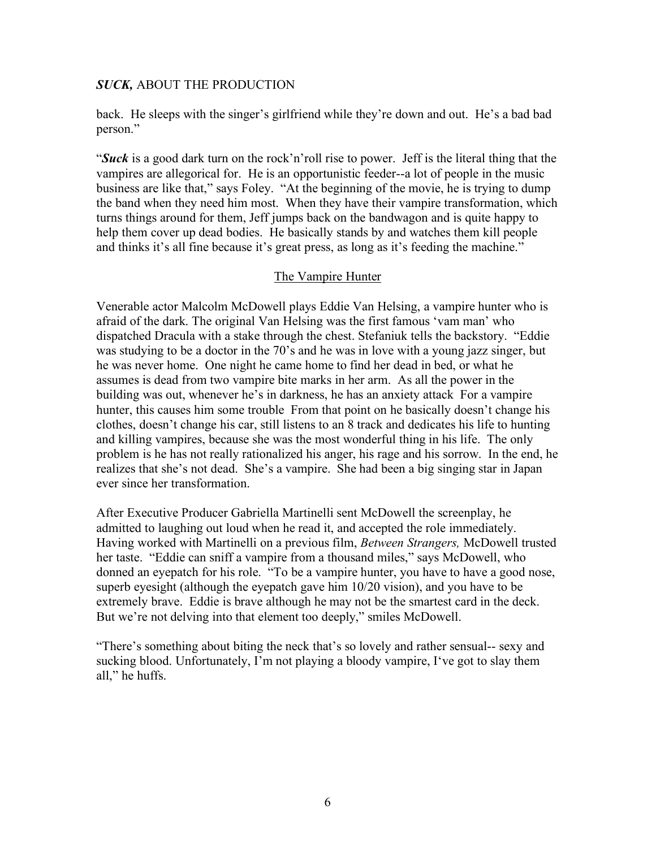back. He sleeps with the singer's girlfriend while they're down and out. He's a bad bad person."

"*Suck* is a good dark turn on the rock'n'roll rise to power. Jeff is the literal thing that the vampires are allegorical for. He is an opportunistic feeder--a lot of people in the music business are like that," says Foley. "At the beginning of the movie, he is trying to dump the band when they need him most. When they have their vampire transformation, which turns things around for them, Jeff jumps back on the bandwagon and is quite happy to help them cover up dead bodies. He basically stands by and watches them kill people and thinks it's all fine because it's great press, as long as it's feeding the machine."

## The Vampire Hunter

Venerable actor Malcolm McDowell plays Eddie Van Helsing, a vampire hunter who is afraid of the dark. The original Van Helsing was the first famous 'vam man' who dispatched Dracula with a stake through the chest. Stefaniuk tells the backstory. "Eddie was studying to be a doctor in the 70's and he was in love with a young jazz singer, but he was never home. One night he came home to find her dead in bed, or what he assumes is dead from two vampire bite marks in her arm. As all the power in the building was out, whenever he's in darkness, he has an anxiety attack For a vampire hunter, this causes him some trouble From that point on he basically doesn't change his clothes, doesn't change his car, still listens to an 8 track and dedicates his life to hunting and killing vampires, because she was the most wonderful thing in his life. The only problem is he has not really rationalized his anger, his rage and his sorrow. In the end, he realizes that she's not dead. She's a vampire. She had been a big singing star in Japan ever since her transformation.

After Executive Producer Gabriella Martinelli sent McDowell the screenplay, he admitted to laughing out loud when he read it, and accepted the role immediately. Having worked with Martinelli on a previous film, *Between Strangers,* McDowell trusted her taste. "Eddie can sniff a vampire from a thousand miles," says McDowell, who donned an eyepatch for his role. "To be a vampire hunter, you have to have a good nose, superb eyesight (although the eyepatch gave him 10/20 vision), and you have to be extremely brave. Eddie is brave although he may not be the smartest card in the deck. But we're not delving into that element too deeply," smiles McDowell.

"There's something about biting the neck that's so lovely and rather sensual-- sexy and sucking blood. Unfortunately, I'm not playing a bloody vampire, I've got to slay them all," he huffs.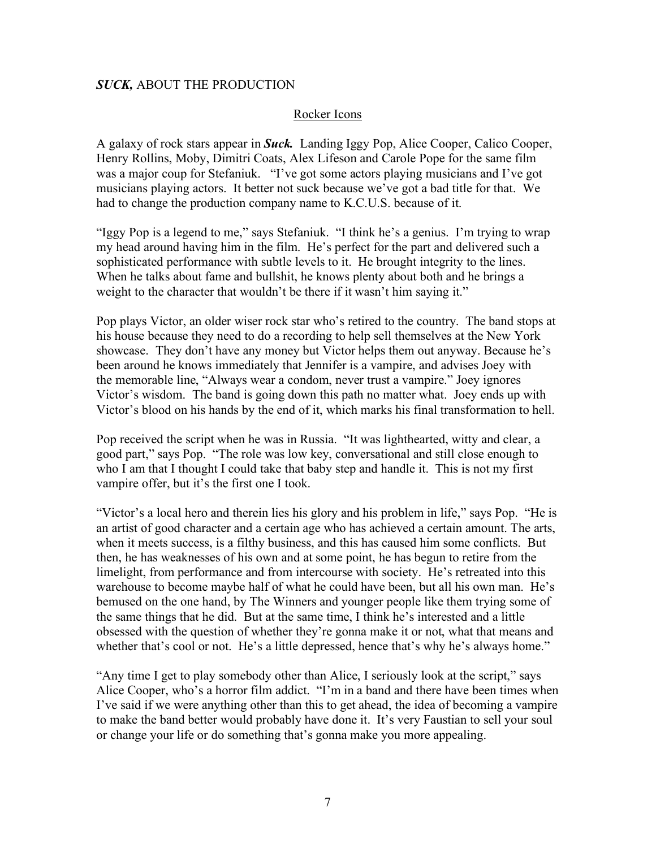#### Rocker Icons

A galaxy of rock stars appear in *Suck.* Landing Iggy Pop, Alice Cooper, Calico Cooper, Henry Rollins, Moby, Dimitri Coats, Alex Lifeson and Carole Pope for the same film was a major coup for Stefaniuk. "I've got some actors playing musicians and I've got musicians playing actors. It better not suck because we've got a bad title for that. We had to change the production company name to K.C.U.S. because of it.

"Iggy Pop is a legend to me," says Stefaniuk. "I think he's a genius. I'm trying to wrap my head around having him in the film. He's perfect for the part and delivered such a sophisticated performance with subtle levels to it. He brought integrity to the lines. When he talks about fame and bullshit, he knows plenty about both and he brings a weight to the character that wouldn't be there if it wasn't him saying it."

Pop plays Victor, an older wiser rock star who's retired to the country. The band stops at his house because they need to do a recording to help sell themselves at the New York showcase. They don't have any money but Victor helps them out anyway. Because he's been around he knows immediately that Jennifer is a vampire, and advises Joey with the memorable line, "Always wear a condom, never trust a vampire." Joey ignores Victor's wisdom. The band is going down this path no matter what. Joey ends up with Victor's blood on his hands by the end of it, which marks his final transformation to hell.

Pop received the script when he was in Russia. "It was lighthearted, witty and clear, a good part," says Pop. "The role was low key, conversational and still close enough to who I am that I thought I could take that baby step and handle it. This is not my first vampire offer, but it's the first one I took.

"Victor's a local hero and therein lies his glory and his problem in life," says Pop. "He is an artist of good character and a certain age who has achieved a certain amount. The arts, when it meets success, is a filthy business, and this has caused him some conflicts. But then, he has weaknesses of his own and at some point, he has begun to retire from the limelight, from performance and from intercourse with society. He's retreated into this warehouse to become maybe half of what he could have been, but all his own man. He's bemused on the one hand, by The Winners and younger people like them trying some of the same things that he did. But at the same time, I think he's interested and a little obsessed with the question of whether they're gonna make it or not, what that means and whether that's cool or not. He's a little depressed, hence that's why he's always home."

"Any time I get to play somebody other than Alice, I seriously look at the script," says Alice Cooper, who's a horror film addict. "I'm in a band and there have been times when I've said if we were anything other than this to get ahead, the idea of becoming a vampire to make the band better would probably have done it. It's very Faustian to sell your soul or change your life or do something that's gonna make you more appealing.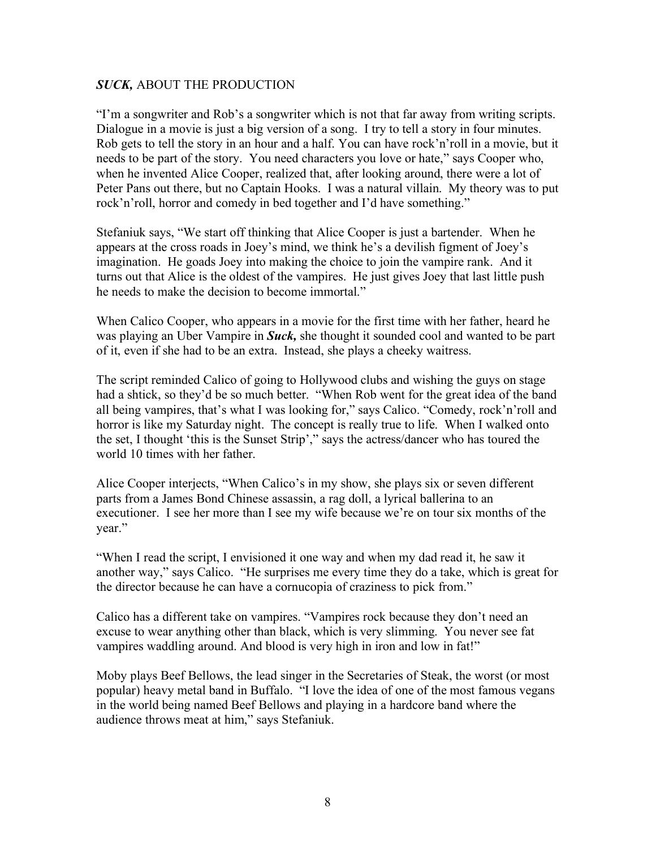"I'm a songwriter and Rob's a songwriter which is not that far away from writing scripts. Dialogue in a movie is just a big version of a song. I try to tell a story in four minutes. Rob gets to tell the story in an hour and a half. You can have rock'n'roll in a movie, but it needs to be part of the story. You need characters you love or hate," says Cooper who, when he invented Alice Cooper, realized that, after looking around, there were a lot of Peter Pans out there, but no Captain Hooks. I was a natural villain. My theory was to put rock'n'roll, horror and comedy in bed together and I'd have something."

Stefaniuk says, "We start off thinking that Alice Cooper is just a bartender. When he appears at the cross roads in Joey's mind, we think he's a devilish figment of Joey's imagination. He goads Joey into making the choice to join the vampire rank. And it turns out that Alice is the oldest of the vampires. He just gives Joey that last little push he needs to make the decision to become immortal."

When Calico Cooper, who appears in a movie for the first time with her father, heard he was playing an Uber Vampire in *Suck,* she thought it sounded cool and wanted to be part of it, even if she had to be an extra. Instead, she plays a cheeky waitress.

The script reminded Calico of going to Hollywood clubs and wishing the guys on stage had a shtick, so they'd be so much better. "When Rob went for the great idea of the band all being vampires, that's what I was looking for," says Calico. "Comedy, rock'n'roll and horror is like my Saturday night. The concept is really true to life. When I walked onto the set, I thought 'this is the Sunset Strip'," says the actress/dancer who has toured the world 10 times with her father.

Alice Cooper interjects, "When Calico's in my show, she plays six or seven different parts from a James Bond Chinese assassin, a rag doll, a lyrical ballerina to an executioner. I see her more than I see my wife because we're on tour six months of the year."

"When I read the script, I envisioned it one way and when my dad read it, he saw it another way," says Calico. "He surprises me every time they do a take, which is great for the director because he can have a cornucopia of craziness to pick from."

Calico has a different take on vampires. "Vampires rock because they don't need an excuse to wear anything other than black, which is very slimming. You never see fat vampires waddling around. And blood is very high in iron and low in fat!"

Moby plays Beef Bellows, the lead singer in the Secretaries of Steak, the worst (or most popular) heavy metal band in Buffalo. "I love the idea of one of the most famous vegans in the world being named Beef Bellows and playing in a hardcore band where the audience throws meat at him," says Stefaniuk.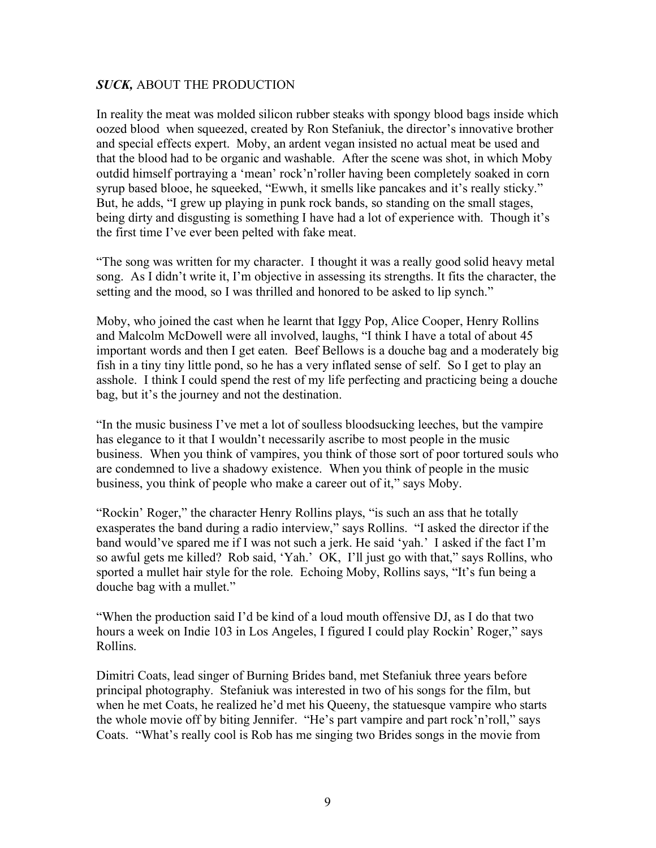In reality the meat was molded silicon rubber steaks with spongy blood bags inside which oozed blood when squeezed, created by Ron Stefaniuk, the director's innovative brother and special effects expert. Moby, an ardent vegan insisted no actual meat be used and that the blood had to be organic and washable. After the scene was shot, in which Moby outdid himself portraying a 'mean' rock'n'roller having been completely soaked in corn syrup based blooe, he squeeked, "Ewwh, it smells like pancakes and it's really sticky." But, he adds, "I grew up playing in punk rock bands, so standing on the small stages, being dirty and disgusting is something I have had a lot of experience with. Though it's the first time I've ever been pelted with fake meat.

"The song was written for my character. I thought it was a really good solid heavy metal song. As I didn't write it, I'm objective in assessing its strengths. It fits the character, the setting and the mood, so I was thrilled and honored to be asked to lip synch."

Moby, who joined the cast when he learnt that Iggy Pop, Alice Cooper, Henry Rollins and Malcolm McDowell were all involved, laughs, "I think I have a total of about 45 important words and then I get eaten. Beef Bellows is a douche bag and a moderately big fish in a tiny tiny little pond, so he has a very inflated sense of self. So I get to play an asshole. I think I could spend the rest of my life perfecting and practicing being a douche bag, but it's the journey and not the destination.

"In the music business I've met a lot of soulless bloodsucking leeches, but the vampire has elegance to it that I wouldn't necessarily ascribe to most people in the music business. When you think of vampires, you think of those sort of poor tortured souls who are condemned to live a shadowy existence. When you think of people in the music business, you think of people who make a career out of it," says Moby.

"Rockin' Roger," the character Henry Rollins plays, "is such an ass that he totally exasperates the band during a radio interview," says Rollins. "I asked the director if the band would've spared me if I was not such a jerk. He said 'yah.' I asked if the fact I'm so awful gets me killed? Rob said, 'Yah.' OK, I'll just go with that," says Rollins, who sported a mullet hair style for the role. Echoing Moby, Rollins says, "It's fun being a douche bag with a mullet."

"When the production said I'd be kind of a loud mouth offensive DJ, as I do that two hours a week on Indie 103 in Los Angeles, I figured I could play Rockin' Roger," says Rollins.

Dimitri Coats, lead singer of Burning Brides band, met Stefaniuk three years before principal photography. Stefaniuk was interested in two of his songs for the film, but when he met Coats, he realized he'd met his Queeny, the statuesque vampire who starts the whole movie off by biting Jennifer. "He's part vampire and part rock'n'roll," says Coats. "What's really cool is Rob has me singing two Brides songs in the movie from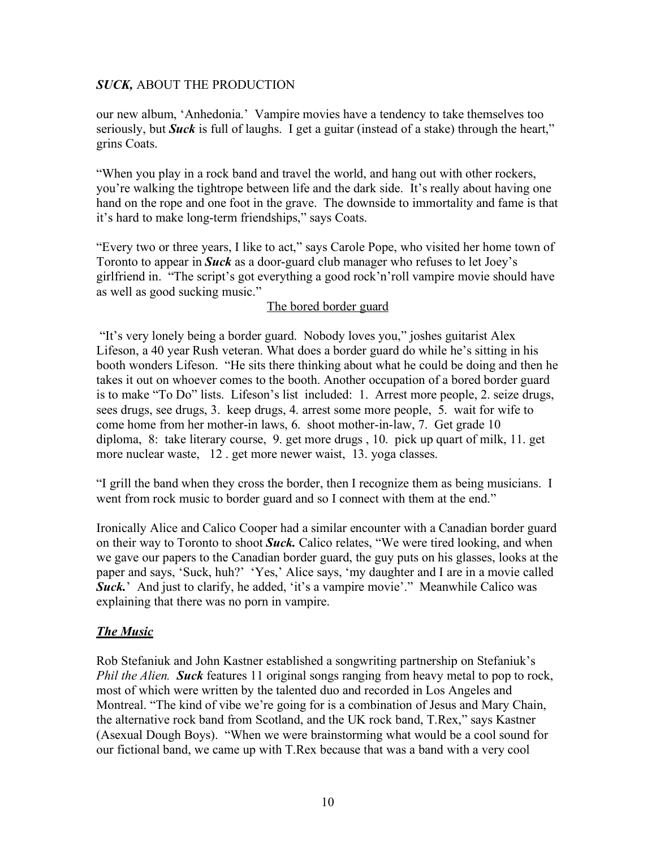our new album, 'Anhedonia.' Vampire movies have a tendency to take themselves too seriously, but *Suck* is full of laughs. I get a guitar (instead of a stake) through the heart," grins Coats.

"When you play in a rock band and travel the world, and hang out with other rockers, you're walking the tightrope between life and the dark side. It's really about having one hand on the rope and one foot in the grave. The downside to immortality and fame is that it's hard to make long-term friendships," says Coats.

"Every two or three years, I like to act," says Carole Pope, who visited her home town of Toronto to appear in *Suck* as a door-guard club manager who refuses to let Joey's girlfriend in. "The script's got everything a good rock'n'roll vampire movie should have as well as good sucking music."

# The bored border guard

 "It's very lonely being a border guard. Nobody loves you," joshes guitarist Alex Lifeson, a 40 year Rush veteran. What does a border guard do while he's sitting in his booth wonders Lifeson. "He sits there thinking about what he could be doing and then he takes it out on whoever comes to the booth. Another occupation of a bored border guard is to make "To Do" lists. Lifeson's list included: 1. Arrest more people, 2. seize drugs, sees drugs, see drugs, 3. keep drugs, 4. arrest some more people, 5. wait for wife to come home from her mother-in laws, 6. shoot mother-in-law, 7. Get grade 10 diploma, 8: take literary course, 9. get more drugs , 10. pick up quart of milk, 11. get more nuclear waste, 12 . get more newer waist, 13. yoga classes.

"I grill the band when they cross the border, then I recognize them as being musicians. I went from rock music to border guard and so I connect with them at the end."

Ironically Alice and Calico Cooper had a similar encounter with a Canadian border guard on their way to Toronto to shoot *Suck.* Calico relates, "We were tired looking, and when we gave our papers to the Canadian border guard, the guy puts on his glasses, looks at the paper and says, 'Suck, huh?' 'Yes,' Alice says, 'my daughter and I are in a movie called **Suck.**' And just to clarify, he added, 'it's a vampire movie'." Meanwhile Calico was explaining that there was no porn in vampire.

# *The Music*

Rob Stefaniuk and John Kastner established a songwriting partnership on Stefaniuk's *Phil the Alien. Suck* features 11 original songs ranging from heavy metal to pop to rock, most of which were written by the talented duo and recorded in Los Angeles and Montreal. "The kind of vibe we're going for is a combination of Jesus and Mary Chain, the alternative rock band from Scotland, and the UK rock band, T.Rex," says Kastner (Asexual Dough Boys). "When we were brainstorming what would be a cool sound for our fictional band, we came up with T.Rex because that was a band with a very cool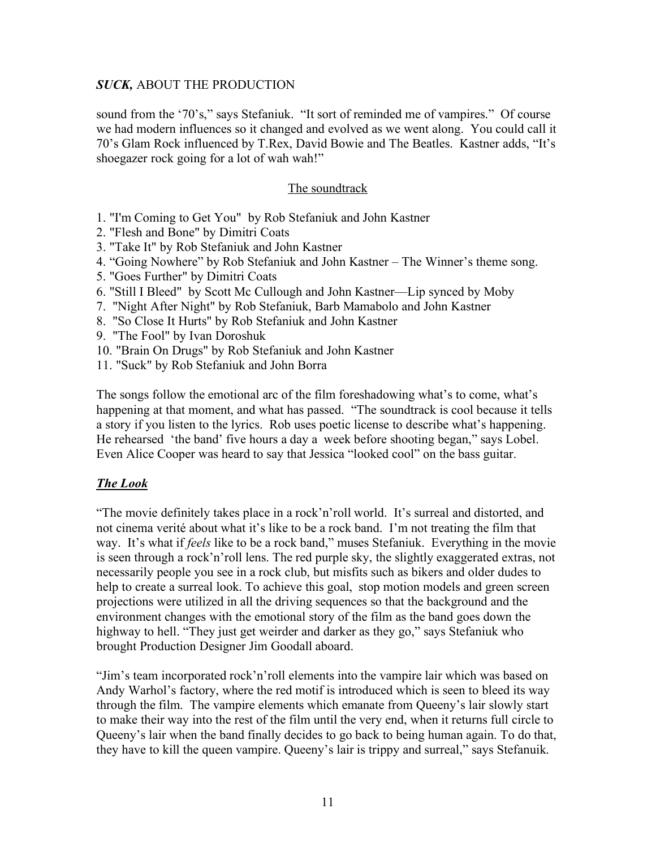sound from the '70's," says Stefaniuk. "It sort of reminded me of vampires." Of course we had modern influences so it changed and evolved as we went along. You could call it 70's Glam Rock influenced by T.Rex, David Bowie and The Beatles. Kastner adds, "It's shoegazer rock going for a lot of wah wah!"

## The soundtrack

- 1. "I'm Coming to Get You" by Rob Stefaniuk and John Kastner
- 2. "Flesh and Bone" by Dimitri Coats
- 3. "Take It" by Rob Stefaniuk and John Kastner
- 4. "Going Nowhere" by Rob Stefaniuk and John Kastner The Winner's theme song.
- 5. "Goes Further" by Dimitri Coats
- 6. "Still I Bleed" by Scott Mc Cullough and John Kastner—Lip synced by Moby
- 7. "Night After Night" by Rob Stefaniuk, Barb Mamabolo and John Kastner
- 8. "So Close It Hurts" by Rob Stefaniuk and John Kastner
- 9. "The Fool" by Ivan Doroshuk
- 10. "Brain On Drugs" by Rob Stefaniuk and John Kastner
- 11. "Suck" by Rob Stefaniuk and John Borra

The songs follow the emotional arc of the film foreshadowing what's to come, what's happening at that moment, and what has passed. "The soundtrack is cool because it tells a story if you listen to the lyrics. Rob uses poetic license to describe what's happening. He rehearsed 'the band' five hours a day a week before shooting began," says Lobel. Even Alice Cooper was heard to say that Jessica "looked cool" on the bass guitar.

# *The Look*

"The movie definitely takes place in a rock'n'roll world. It's surreal and distorted, and not cinema verité about what it's like to be a rock band. I'm not treating the film that way. It's what if *feels* like to be a rock band," muses Stefaniuk. Everything in the movie is seen through a rock'n'roll lens. The red purple sky, the slightly exaggerated extras, not necessarily people you see in a rock club, but misfits such as bikers and older dudes to help to create a surreal look. To achieve this goal, stop motion models and green screen projections were utilized in all the driving sequences so that the background and the environment changes with the emotional story of the film as the band goes down the highway to hell. "They just get weirder and darker as they go," says Stefaniuk who brought Production Designer Jim Goodall aboard.

"Jim's team incorporated rock'n'roll elements into the vampire lair which was based on Andy Warhol's factory, where the red motif is introduced which is seen to bleed its way through the film. The vampire elements which emanate from Queeny's lair slowly start to make their way into the rest of the film until the very end, when it returns full circle to Queeny's lair when the band finally decides to go back to being human again. To do that, they have to kill the queen vampire. Queeny's lair is trippy and surreal," says Stefanuik.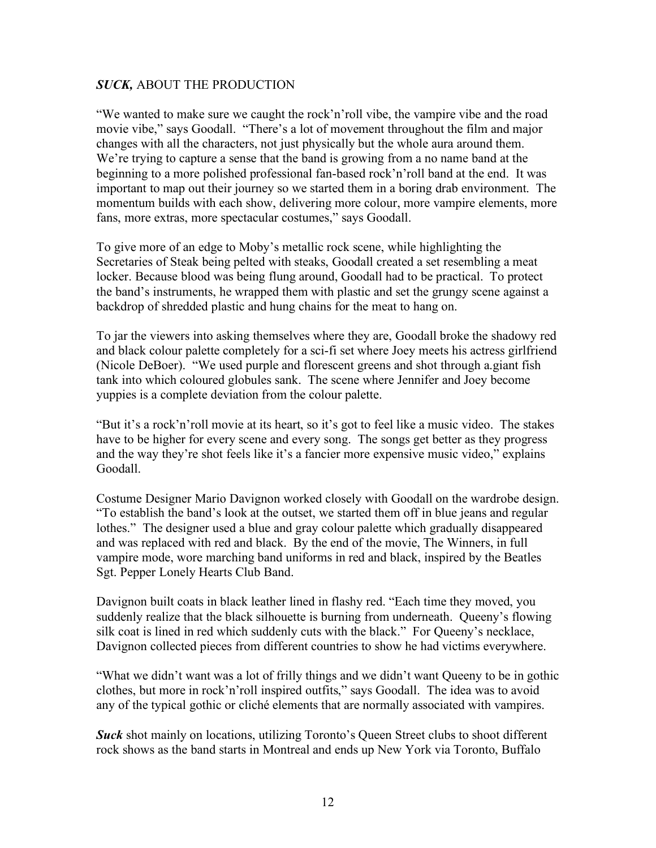"We wanted to make sure we caught the rock'n'roll vibe, the vampire vibe and the road movie vibe," says Goodall. "There's a lot of movement throughout the film and major changes with all the characters, not just physically but the whole aura around them. We're trying to capture a sense that the band is growing from a no name band at the beginning to a more polished professional fan-based rock'n'roll band at the end. It was important to map out their journey so we started them in a boring drab environment. The momentum builds with each show, delivering more colour, more vampire elements, more fans, more extras, more spectacular costumes," says Goodall.

To give more of an edge to Moby's metallic rock scene, while highlighting the Secretaries of Steak being pelted with steaks, Goodall created a set resembling a meat locker. Because blood was being flung around, Goodall had to be practical. To protect the band's instruments, he wrapped them with plastic and set the grungy scene against a backdrop of shredded plastic and hung chains for the meat to hang on.

To jar the viewers into asking themselves where they are, Goodall broke the shadowy red and black colour palette completely for a sci-fi set where Joey meets his actress girlfriend (Nicole DeBoer). "We used purple and florescent greens and shot through a.giant fish tank into which coloured globules sank. The scene where Jennifer and Joey become yuppies is a complete deviation from the colour palette.

"But it's a rock'n'roll movie at its heart, so it's got to feel like a music video. The stakes have to be higher for every scene and every song. The songs get better as they progress and the way they're shot feels like it's a fancier more expensive music video," explains Goodall.

Costume Designer Mario Davignon worked closely with Goodall on the wardrobe design. "To establish the band's look at the outset, we started them off in blue jeans and regular lothes." The designer used a blue and gray colour palette which gradually disappeared and was replaced with red and black. By the end of the movie, The Winners, in full vampire mode, wore marching band uniforms in red and black, inspired by the Beatles Sgt. Pepper Lonely Hearts Club Band.

Davignon built coats in black leather lined in flashy red. "Each time they moved, you suddenly realize that the black silhouette is burning from underneath. Queeny's flowing silk coat is lined in red which suddenly cuts with the black." For Queeny's necklace, Davignon collected pieces from different countries to show he had victims everywhere.

"What we didn't want was a lot of frilly things and we didn't want Queeny to be in gothic clothes, but more in rock'n'roll inspired outfits," says Goodall. The idea was to avoid any of the typical gothic or cliché elements that are normally associated with vampires.

**Suck** shot mainly on locations, utilizing Toronto's Queen Street clubs to shoot different rock shows as the band starts in Montreal and ends up New York via Toronto, Buffalo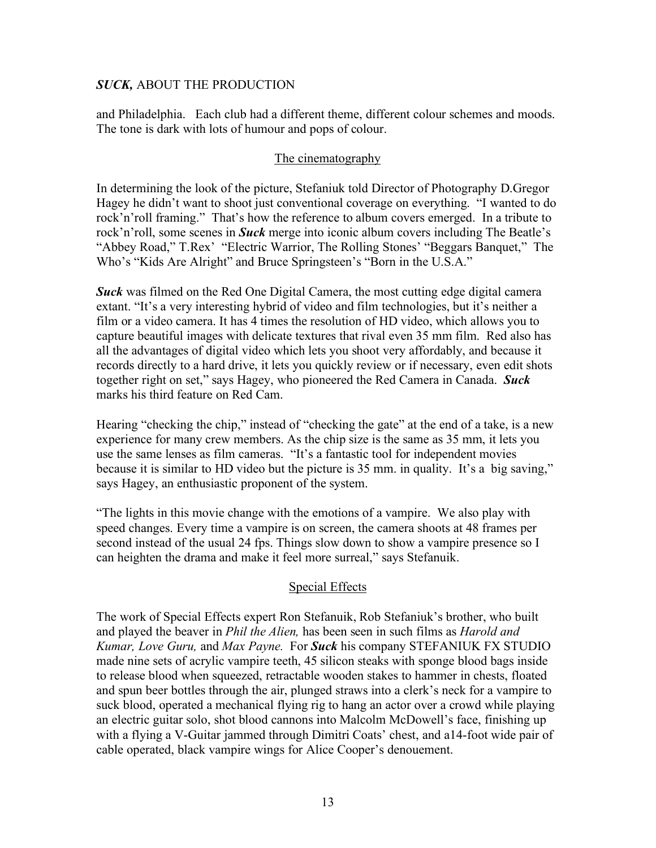and Philadelphia. Each club had a different theme, different colour schemes and moods. The tone is dark with lots of humour and pops of colour.

#### The cinematography

In determining the look of the picture, Stefaniuk told Director of Photography D.Gregor Hagey he didn't want to shoot just conventional coverage on everything. "I wanted to do rock'n'roll framing." That's how the reference to album covers emerged. In a tribute to rock'n'roll, some scenes in *Suck* merge into iconic album covers including The Beatle's "Abbey Road," T.Rex' "Electric Warrior, The Rolling Stones' "Beggars Banquet," The Who's "Kids Are Alright" and Bruce Springsteen's "Born in the U.S.A."

*Suck* was filmed on the Red One Digital Camera, the most cutting edge digital camera extant. "It's a very interesting hybrid of video and film technologies, but it's neither a film or a video camera. It has 4 times the resolution of HD video, which allows you to capture beautiful images with delicate textures that rival even 35 mm film. Red also has all the advantages of digital video which lets you shoot very affordably, and because it records directly to a hard drive, it lets you quickly review or if necessary, even edit shots together right on set," says Hagey, who pioneered the Red Camera in Canada. *Suck*  marks his third feature on Red Cam.

Hearing "checking the chip," instead of "checking the gate" at the end of a take, is a new experience for many crew members. As the chip size is the same as 35 mm, it lets you use the same lenses as film cameras. "It's a fantastic tool for independent movies because it is similar to HD video but the picture is 35 mm. in quality. It's a big saving," says Hagey, an enthusiastic proponent of the system.

"The lights in this movie change with the emotions of a vampire. We also play with speed changes. Every time a vampire is on screen, the camera shoots at 48 frames per second instead of the usual 24 fps. Things slow down to show a vampire presence so I can heighten the drama and make it feel more surreal," says Stefanuik.

# Special Effects

The work of Special Effects expert Ron Stefanuik, Rob Stefaniuk's brother, who built and played the beaver in *Phil the Alien,* has been seen in such films as *Harold and Kumar, Love Guru,* and *Max Payne.* For *Suck* his company STEFANIUK FX STUDIO made nine sets of acrylic vampire teeth, 45 silicon steaks with sponge blood bags inside to release blood when squeezed, retractable wooden stakes to hammer in chests, floated and spun beer bottles through the air, plunged straws into a clerk's neck for a vampire to suck blood, operated a mechanical flying rig to hang an actor over a crowd while playing an electric guitar solo, shot blood cannons into Malcolm McDowell's face, finishing up with a flying a V-Guitar jammed through Dimitri Coats' chest, and a 14-foot wide pair of cable operated, black vampire wings for Alice Cooper's denouement.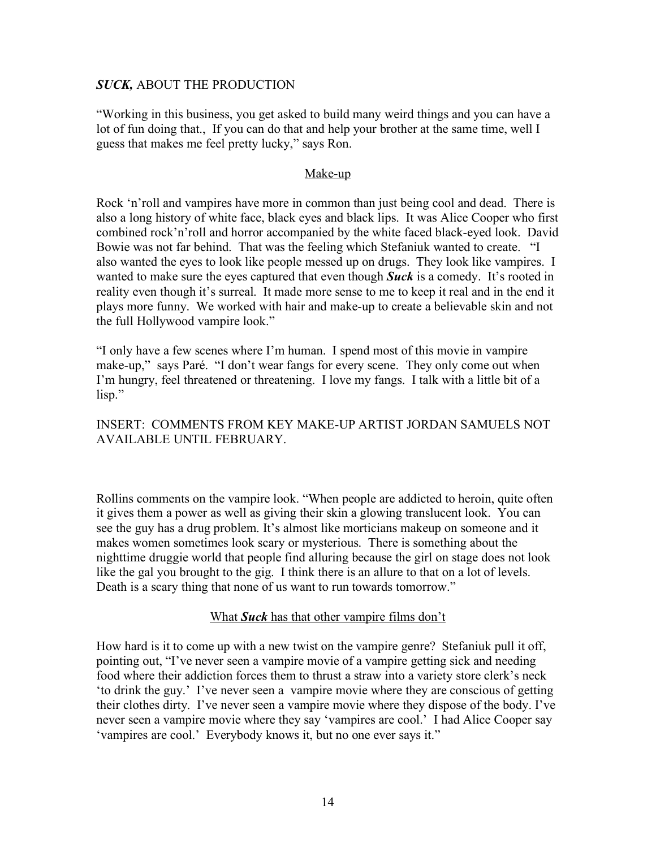"Working in this business, you get asked to build many weird things and you can have a lot of fun doing that., If you can do that and help your brother at the same time, well I guess that makes me feel pretty lucky," says Ron.

#### Make-up

Rock 'n'roll and vampires have more in common than just being cool and dead. There is also a long history of white face, black eyes and black lips. It was Alice Cooper who first combined rock'n'roll and horror accompanied by the white faced black-eyed look. David Bowie was not far behind. That was the feeling which Stefaniuk wanted to create. "I also wanted the eyes to look like people messed up on drugs. They look like vampires. I wanted to make sure the eyes captured that even though *Suck* is a comedy. It's rooted in reality even though it's surreal. It made more sense to me to keep it real and in the end it plays more funny. We worked with hair and make-up to create a believable skin and not the full Hollywood vampire look."

"I only have a few scenes where I'm human. I spend most of this movie in vampire make-up," says Paré. "I don't wear fangs for every scene. They only come out when I'm hungry, feel threatened or threatening. I love my fangs. I talk with a little bit of a lisp."

## INSERT: COMMENTS FROM KEY MAKE-UP ARTIST JORDAN SAMUELS NOT AVAILABLE UNTIL FEBRUARY.

Rollins comments on the vampire look. "When people are addicted to heroin, quite often it gives them a power as well as giving their skin a glowing translucent look. You can see the guy has a drug problem. It's almost like morticians makeup on someone and it makes women sometimes look scary or mysterious. There is something about the nighttime druggie world that people find alluring because the girl on stage does not look like the gal you brought to the gig. I think there is an allure to that on a lot of levels. Death is a scary thing that none of us want to run towards tomorrow."

#### What *Suck* has that other vampire films don't

How hard is it to come up with a new twist on the vampire genre? Stefaniuk pull it off, pointing out, "I've never seen a vampire movie of a vampire getting sick and needing food where their addiction forces them to thrust a straw into a variety store clerk's neck 'to drink the guy.' I've never seen a vampire movie where they are conscious of getting their clothes dirty. I've never seen a vampire movie where they dispose of the body. I've never seen a vampire movie where they say 'vampires are cool.' I had Alice Cooper say 'vampires are cool.' Everybody knows it, but no one ever says it."